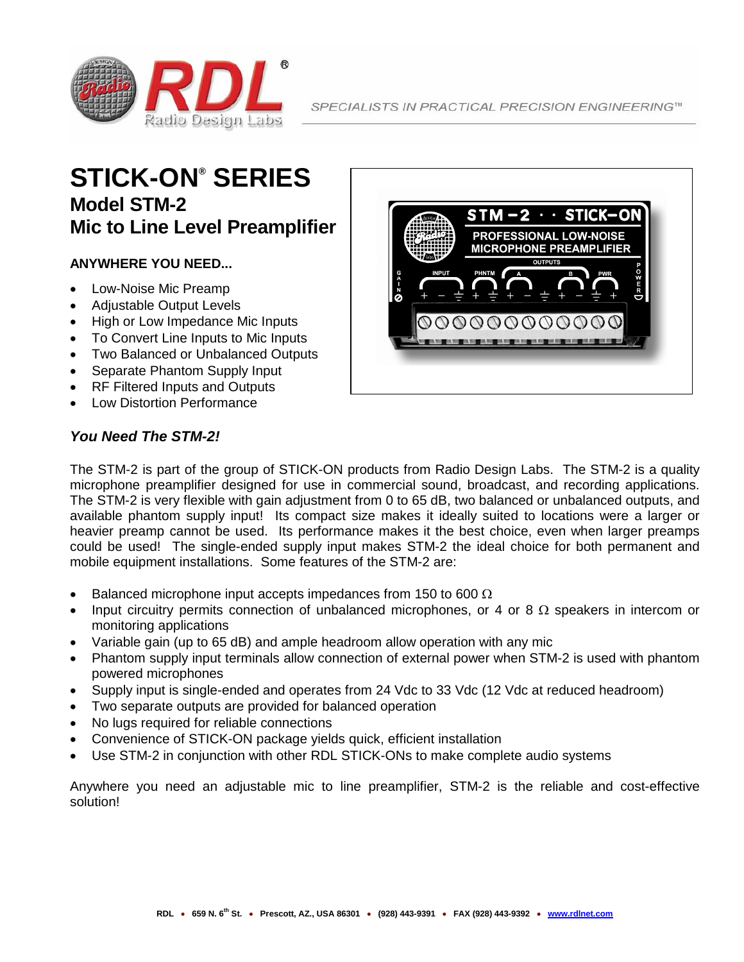

# **STICK-ON® SERIES Model STM-2 Mic to Line Level Preamplifier**

### **ANYWHERE YOU NEED...**

- Low-Noise Mic Preamp
- Adjustable Output Levels
- High or Low Impedance Mic Inputs
- To Convert Line Inputs to Mic Inputs
- Two Balanced or Unbalanced Outputs
- Separate Phantom Supply Input
- RF Filtered Inputs and Outputs
- Low Distortion Performance



## *You Need The STM-2!*

The STM-2 is part of the group of STICK-ON products from Radio Design Labs. The STM-2 is a quality microphone preamplifier designed for use in commercial sound, broadcast, and recording applications. The STM-2 is very flexible with gain adjustment from 0 to 65 dB, two balanced or unbalanced outputs, and available phantom supply input! Its compact size makes it ideally suited to locations were a larger or heavier preamp cannot be used. Its performance makes it the best choice, even when larger preamps could be used! The single-ended supply input makes STM-2 the ideal choice for both permanent and mobile equipment installations. Some features of the STM-2 are:

- Balanced microphone input accepts impedances from 150 to 600  $\Omega$
- Input circuitry permits connection of unbalanced microphones, or 4 or 8  $\Omega$  speakers in intercom or monitoring applications
- Variable gain (up to 65 dB) and ample headroom allow operation with any mic
- Phantom supply input terminals allow connection of external power when STM-2 is used with phantom powered microphones
- Supply input is single-ended and operates from 24 Vdc to 33 Vdc (12 Vdc at reduced headroom)
- Two separate outputs are provided for balanced operation
- No lugs required for reliable connections
- Convenience of STICK-ON package yields quick, efficient installation
- Use STM-2 in conjunction with other RDL STICK-ONs to make complete audio systems

Anywhere you need an adjustable mic to line preamplifier, STM-2 is the reliable and cost-effective solution!